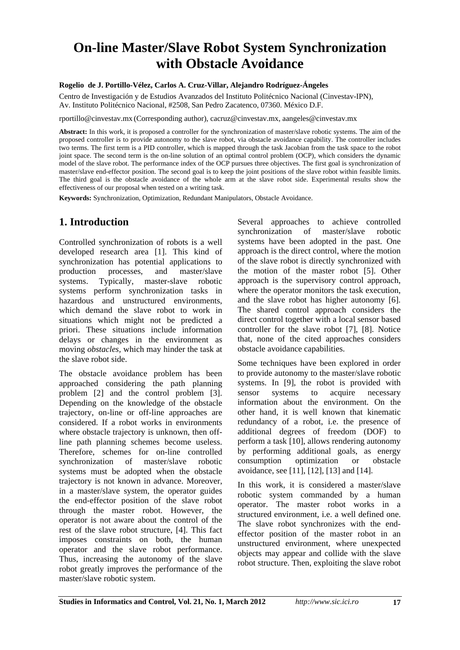# **On-line Master/Slave Robot System Synchronization with Obstacle Avoidance**

#### **Rogelio de J. Portillo-Vélez, Carlos A. Cruz-Villar, Alejandro Rodríguez-Ángeles**

Centro de Investigación y de Estudios Avanzados del Instituto Politécnico Nacional (Cinvestav-IPN), Av. Instituto Politécnico Nacional, #2508, San Pedro Zacatenco, 07360. México D.F.

rportillo@cinvestav.mx (Corresponding author), cacruz@cinvestav.mx, aangeles@cinvestav.mx

**Abstract:** In this work, it is proposed a controller for the synchronization of master/slave robotic systems. The aim of the proposed controller is to provide autonomy to the slave robot, via obstacle avoidance capability. The controller includes two terms. The first term is a PID controller, which is mapped through the task Jacobian from the task space to the robot joint space. The second term is the on-line solution of an optimal control problem (OCP), which considers the dynamic model of the slave robot. The performance index of the OCP pursues three objectives. The first goal is synchronization of master/slave end-effector position. The second goal is to keep the joint positions of the slave robot within feasible limits. The third goal is the obstacle avoidance of the whole arm at the slave robot side. Experimental results show the effectiveness of our proposal when tested on a writing task.

**Keywords:** Synchronization, Optimization, Redundant Manipulators, Obstacle Avoidance.

# **1. Introduction**

Controlled synchronization of robots is a well developed research area [1]. This kind of synchronization has potential applications to production processes, and master/slave systems. Typically, master-slave robotic systems perform synchronization tasks in hazardous and unstructured environments, which demand the slave robot to work in situations which might not be predicted a priori. These situations include information delays or changes in the environment as moving *obstacles,* which may hinder the task at the slave robot side.

The obstacle avoidance problem has been approached considering the path planning problem [2] and the control problem [3]. Depending on the knowledge of the obstacle trajectory, on-line or off-line approaches are considered. If a robot works in environments where obstacle trajectory is unknown, then offline path planning schemes become useless. Therefore, schemes for on-line controlled synchronization of master/slave robotic systems must be adopted when the obstacle trajectory is not known in advance. Moreover, in a master/slave system, the operator guides the end-effector position of the slave robot through the master robot. However, the operator is not aware about the control of the rest of the slave robot structure, [4]. This fact imposes constraints on both, the human operator and the slave robot performance. Thus, increasing the autonomy of the slave robot greatly improves the performance of the master/slave robotic system.

Several approaches to achieve controlled synchronization of master/slave robotic systems have been adopted in the past. One approach is the direct control, where the motion of the slave robot is directly synchronized with the motion of the master robot [5]. Other approach is the supervisory control approach, where the operator monitors the task execution, and the slave robot has higher autonomy [6]. The shared control approach considers the direct control together with a local sensor based controller for the slave robot [7], [8]. Notice that, none of the cited approaches considers obstacle avoidance capabilities.

Some techniques have been explored in order to provide autonomy to the master/slave robotic systems. In [9], the robot is provided with sensor systems to acquire necessary information about the environment. On the other hand, it is well known that kinematic redundancy of a robot, i.e. the presence of additional degrees of freedom (DOF) to perform a task [10], allows rendering autonomy by performing additional goals, as energy consumption optimization or obstacle avoidance, see [11], [12], [13] and [14].

In this work, it is considered a master/slave robotic system commanded by a human operator. The master robot works in a structured environment, i.e. a well defined one. The slave robot synchronizes with the endeffector position of the master robot in an unstructured environment, where unexpected objects may appear and collide with the slave robot structure. Then, exploiting the slave robot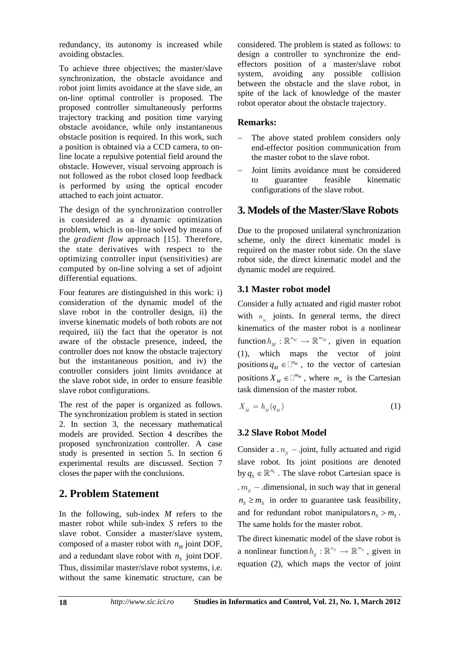redundancy, its autonomy is increased while avoiding obstacles.

To achieve three objectives; the master/slave synchronization, the obstacle avoidance and robot joint limits avoidance at the slave side, an on-line optimal controller is proposed. The proposed controller simultaneously performs trajectory tracking and position time varying obstacle avoidance, while only instantaneous obstacle position is required. In this work, such a position is obtained via a CCD camera, to online locate a repulsive potential field around the obstacle. However, visual servoing approach is not followed as the robot closed loop feedback is performed by using the optical encoder attached to each joint actuator.

The design of the synchronization controller is considered as a dynamic optimization problem, which is on-line solved by means of the *gradient flow* approach [15]. Therefore, the state derivatives with respect to the optimizing controller input (sensitivities) are computed by on-line solving a set of adjoint differential equations.

Four features are distinguished in this work: i) consideration of the dynamic model of the slave robot in the controller design, ii) the inverse kinematic models of both robots are not required, iii) the fact that the operator is not aware of the obstacle presence, indeed, the controller does not know the obstacle trajectory but the instantaneous position, and iv) the controller considers joint limits avoidance at the slave robot side, in order to ensure feasible slave robot configurations.

The rest of the paper is organized as follows. The synchronization problem is stated in section 2. In section 3, the necessary mathematical models are provided. Section 4 describes the proposed synchronization controller. A case study is presented in section 5. In section 6 experimental results are discussed. Section 7 closes the paper with the conclusions.

# **2. Problem Statement**

In the following, sub-index *M* refers to the master robot while sub-index *S* refers to the slave robot. Consider a master/slave system, composed of a master robot with  $n<sub>M</sub>$  joint DOF, and a redundant slave robot with  $n<sub>s</sub>$  joint DOF. Thus, dissimilar master/slave robot systems, i.e. without the same kinematic structure, can be considered. The problem is stated as follows: to design a controller to synchronize the endeffectors position of a master/slave robot system, avoiding any possible collision between the obstacle and the slave robot, in spite of the lack of knowledge of the master robot operator about the obstacle trajectory.

### **Remarks:**

- The above stated problem considers only end-effector position communication from the master robot to the slave robot.
- Joint limits avoidance must be considered to guarantee feasible kinematic configurations of the slave robot.

# **3. Models of the Master/Slave Robots**

Due to the proposed unilateral synchronization scheme, only the direct kinematic model is required on the master robot side. On the slave robot side, the direct kinematic model and the dynamic model are required.

### **3.1 Master robot model**

Consider a fully actuated and rigid master robot with  $n_{\nu}$  joints. In general terms, the direct kinematics of the master robot is a nonlinear function  $h_M : \mathbb{R}^{n_M} \to \mathbb{R}^{m_M}$ , given in equation (1), which maps the vector of joint positions  $q_M \in \Box^{n_M}$ , to the vector of cartesian positions  $X_M \in \mathbb{Z}^{m_M}$ , where  $m_M$  is the Cartesian task dimension of the master robot.

$$
X_{_M} = h_{_M}(q_{_M}) \tag{1}
$$

# **3.2 Slave Robot Model**

Consider a  $n<sub>s</sub>$  -.joint, fully actuated and rigid slave robot. Its joint positions are denoted by  $q_s \in \mathbb{R}^{n_s}$ . The slave robot Cartesian space is  $m<sub>s</sub>$  - dimensional, in such way that in general  $n_s \geq m_s$  in order to guarantee task feasibility, and for redundant robot manipulators  $n_s > m_s$ . The same holds for the master robot.

The direct kinematic model of the slave robot is a nonlinear function  $h_s : \mathbb{R}^{n_s} \to \mathbb{R}^{m_s}$ , given in equation (2), which maps the vector of joint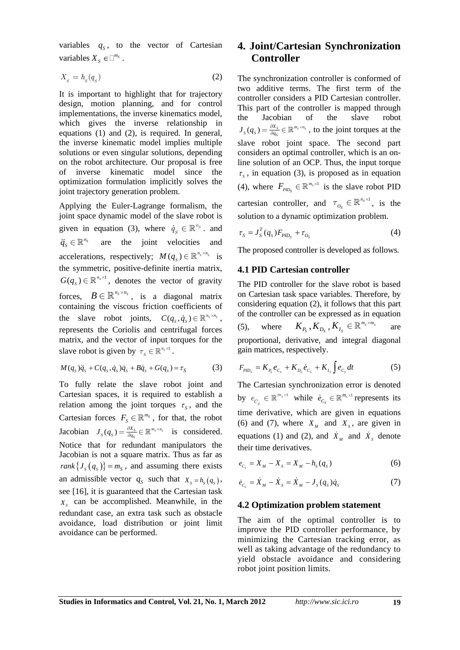variables  $q_s$ , to the vector of Cartesian variables  $X_s \in \square^{m_s}$ .

$$
X_s = h_s(q_s) \tag{2}
$$

It is important to highlight that for trajectory design, motion planning, and for control implementations, the inverse kinematics model, which gives the inverse relationship in equations (1) and (2), is required. In general, the inverse kinematic model implies multiple solutions or even singular solutions, depending on the robot architecture. Our proposal is free of inverse kinematic model since the optimization formulation implicitly solves the joint trajectory generation problem.

Applying the Euler-Lagrange formalism, the joint space dynamic model of the slave robot is given in equation (3), where  $\dot{q}_s \in \mathbb{R}^{n_s}$  and  $\ddot{q}_s \in \mathbb{R}^{n_s}$ are the joint velocities and accelerations, respectively;  $M(q_s) \in \mathbb{R}^{n_s \times n_s}$  is the symmetric, positive-definite inertia matrix,  $G(q_s) \in \mathbb{R}^{n_s \times 1}$ , denotes the vector of gravity forces,  $B \in \mathbb{R}^{n_s \times n_s}$ , is a diagonal matrix containing the viscous friction coefficients of the slave robot joints,  $C(q_s, \dot{q}_s) \in \mathbb{R}^{n_s \times n_s}$ , represents the Coriolis and centrifugal forces matrix, and the vector of input torques for the slave robot is given by  $\tau_s \in \mathbb{R}^{n_s \times 1}$ .

$$
M(qs)\ddot{q}_s + C(q_s, \dot{q}_s)\dot{q}_s + B\dot{q}_s + G(q_s) = \tau_s \tag{3}
$$

To fully relate the slave robot joint and Cartesian spaces, it is required to establish a relation among the joint torques  $\tau_s$ , and the Cartesian forces  $F_s \in \mathbb{R}^{m_s}$ , for that, the robot Jacobian  $J_s(q_s) = \frac{\partial X_s}{\partial q_s} \in \mathbb{R}^{m_s \times n_s}$  $\chi_{S}_S(q_{_S}) = \frac{\partial X_S}{\partial q_{_S}} \in \mathbb{R}^{m_{_S} \times n_{_S}}$  $J_s(q_s) = \frac{\partial X_s}{\partial q_s} \in \mathbb{R}^{m_s \times n_s}$  is considered. Notice that for redundant manipulators the Jacobian is not a square matrix. Thus as far as  $rank{J_s(q_s)} = m_s$ , and assuming there exists an admissible vector  $q_s$  such that  $X_s = h_s(q_s)$ , see [16], it is guaranteed that the Cartesian task  $X<sub>s</sub>$  can be accomplished. Meanwhile, in the redundant case, an extra task such as obstacle avoidance, load distribution or joint limit avoidance can be performed.

## **4. Joint/Cartesian Synchronization Controller**

The synchronization controller is conformed of two additive terms. The first term of the controller considers a PID Cartesian controller. This part of the controller is mapped through the Jacobian of the slave robot  $(q_s) = \frac{\partial X_s}{\partial q_s} \in \mathbb{R}^{m_s \times n_s}$  $\chi_{S}_S(q_{_S}) = \frac{\partial X_S}{\partial q_{_S}} \in \mathbb{R}^{m_{_S} \times n_{_S}}$  $J_s(q_s) = \frac{\partial X_s}{\partial q_s} \in \mathbb{R}^{m_s \times n_s}$ , to the joint torques at the slave robot joint space. The second part considers an optimal controller, which is an online solution of an OCP. Thus, the input torque  $\tau_s$ , in equation (3), is proposed as in equation (4), where  $F_{\text{PID}_S} \in \mathbb{R}^{m_s \times 1}$  is the slave robot PID cartesian controller, and  $\tau_{o_s} \in \mathbb{R}^{n_s \times 1}$  $\mathbf{v}_{o_s} \in \mathbb{R}^{n_s \times 1}$ , is the solution to a dynamic optimization problem.

$$
\tau_{S} = J_{S}^{T}(q_{S})F_{PID_{S}} + \tau_{O_{S}}
$$
\n
$$
\tag{4}
$$

The proposed controller is developed as follows.

#### **4.1 PID Cartesian controller**

The PID controller for the slave robot is based on Cartesian task space variables. Therefore, by considering equation (2), it follows that this part of the controller can be expressed as in equation (5), where  $K_{P_S}, K_{D_S}, K_{I_S} \in \mathbb{R}^{m_S \times m_S}$  are proportional, derivative, and integral diagonal gain matrices, respectively.

$$
F_{\rho_{ID_s}} = K_{P_s} e_{C_s} + K_{D_s} \dot{e}_{C_s} + K_{I_s} \int e_{C_s} dt \tag{5}
$$

The Cartesian synchronization error is denoted by  $e_{C_s} \in \mathbb{R}^{m_s \times 1}$  $e_{C_s} \in \mathbb{R}^{m_s \times 1}$  while  $\dot{e}_{C_s} \in \mathbb{R}^{m_s \times 1}$  $\dot{e}_{C_s} \in \mathbb{R}^{m_s \times 1}$  represents its time derivative, which are given in equations (6) and (7), where  $X_M$  and  $X_S$ , are given in equations (1) and (2), and  $\dot{X}_M$  and  $\dot{X}_S$  denote their time derivatives.

$$
e_{C_s} = X_M - X_s = X_M - h_s(q_s)
$$
 (6)

$$
\dot{e}_{C_s} = \dot{X}_M - \dot{X}_s = \dot{X}_M - J_s(q_s)\dot{q}_s \tag{7}
$$

#### **4.2 Optimization problem statement**

The aim of the optimal controller is to improve the PID controller performance, by minimizing the Cartesian tracking error, as well as taking advantage of the redundancy to yield obstacle avoidance and considering robot joint position limits.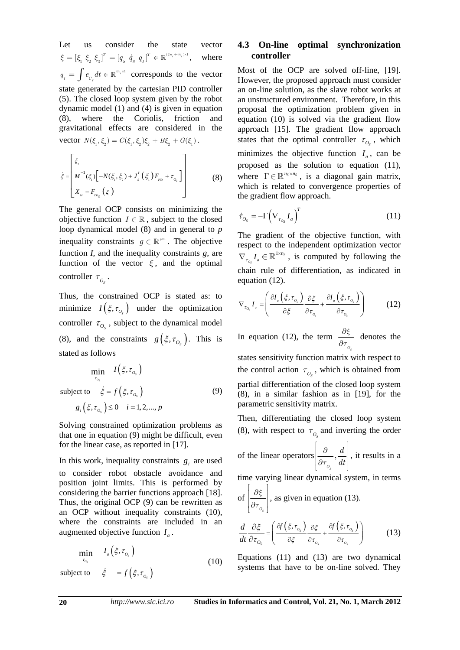Let us consider the state vector  $\xi = [\xi_1 \xi_2 \xi_3]^T = [q_s \dot{q}_s q_t]^T \in \mathbb{R}^{(2n_s + m_s) \times 1}, \text{ where}$ <sup>1</sup> *<sup>S</sup> I*  $J$   $C_s$  $q_{i} = \int e_{C_{s}} dt \in \mathbb{R}^{m_{s} \times 1}$  corresponds to the vector state generated by the cartesian PID controller (5). The closed loop system given by the robot dynamic model (1) and (4) is given in equation (8), where the Coriolis, friction and gravitational effects are considered in the vector  $N(\xi_1, \xi_2) = C(\xi_1, \xi_2)\xi_2 + B\xi_2 + G(\xi_1)$ .

$$
\dot{\xi} = \begin{bmatrix} \xi_{2} & & & \\ M^{-1}(\xi_{1}) \left[ -N(\xi_{1}, \xi_{2}) + J_{s}^{T}(\xi_{1}) F_{\mu_{D}} + \tau_{o_{s}} \right] & \\ X_{M} - F_{\mu_{\xi}}(\xi_{1}) & & \end{bmatrix}
$$
(8)

The general OCP consists on minimizing the objective function  $I \in \mathbb{R}$ , subject to the closed loop dynamical model (8) and in general to *p* inequality constraints  $g \in \mathbb{R}^{p \times 1}$ . The objective function *I,* and the inequality constraints *g,* are function of the vector  $\xi$ , and the optimal controller  $\tau_{\mathcal{O}_s}$ .

Thus, the constrained OCP is stated as: to minimize  $I(\xi, \tau_{O_s})$  under the optimization controller  $\tau_{O_S}$ , subject to the dynamical model (8), and the constraints  $g(\xi, \tau_{O_s})$ . This is stated as follows

 $\min$  *I*( $\xi, \tau_{o_s}$ ) subject to  $\xi = f(\xi, \tau_{o_{\epsilon}})$  $g_i\left(\xi, \tau_{o_s}\right) \leq 0 \quad i = 1, 2, ..., p$ *OS*  $f\big(\mathbf{\xi}, \mathbf{\tau}_{o_{\mathrm{s}}}$ τ  $\dot{\xi} = f(\xi, \tau_o)$  (9)

Solving constrained optimization problems as that one in equation (9) might be difficult, even for the linear case, as reported in [17].

In this work, inequality constraints  $g_i$  are used to consider robot obstacle avoidance and position joint limits. This is performed by considering the barrier functions approach [18]. Thus, the original OCP (9) can be rewritten as an OCP without inequality constraints (10), where the constraints are included in an augmented objective function  $I_a$ .

$$
\min_{\tau_{o_s}} \quad I_a\left(\xi, \tau_{o_s}\right) \tag{10}
$$

subject to  $\dot{\xi} = f(\xi, \tau_{o_s})$ 

### **4.3 On-line optimal synchronization controller**

Most of the OCP are solved off-line, [19]. However, the proposed approach must consider an on-line solution, as the slave robot works at an unstructured environment. Therefore, in this proposal the optimization problem given in equation (10) is solved via the gradient flow approach [15]. The gradient flow approach states that the optimal controller  $\tau_{O_s}$ , which minimizes the objective function  $I_a$ , can be proposed as the solution to equation (11), where  $\Gamma \in \mathbb{R}^{n_s \times n_s}$ , is a diagonal gain matrix, which is related to convergence properties of the gradient flow approach.

$$
\dot{\tau}_{O_S} = -\Gamma \left( \nabla_{\tau_{O_S}} I_a \right)^T \tag{11}
$$

The gradient of the objective function, with respect to the independent optimization vector *OS*  $\nabla_{\tau_{\alpha}} I_a \in \mathbb{R}^{1 \times n_s}$ , is computed by following the chain rule of differentiation, as indicated in equation (12).

$$
\nabla_{\tau_{O_s}} I_a = \left( \frac{\partial I_a \left( \xi, \tau_{O_s} \right)}{\partial \xi} \frac{\partial \xi}{\partial \tau_{O_s}} + \frac{\partial I_a \left( \xi, \tau_{O_s} \right)}{\partial \tau_{O_s}} \right) \tag{12}
$$

In equation (12), the term  $\frac{\partial \xi}{\partial x}$ *t*  $\partial$  $\partial \tau_{_{O_{s}}^{} }$  denotes the states sensitivity function matrix with respect to the control action  $\tau_{O_s}$ , which is obtained from partial differentiation of the closed loop system (8), in a similar fashion as in [19], for the parametric sensitivity matrix.

Then, differentiating the closed loop system (8), with respect to  $\tau_{O_s}$  and inverting the order

of the linear operators 
$$
\left[\frac{\partial}{\partial \tau_{o_s}}, \frac{d}{dt}\right]
$$
, it results in a

time varying linear dynamical system, in terms

of 
$$
\left[\frac{\partial \xi}{\partial \tau_{o_s}}\right]
$$
, as given in equation (13).

$$
\frac{d}{dt}\frac{\partial \xi}{\partial \tau_{O_s}} = \left(\frac{\partial f(\xi, \tau_{O_s})}{\partial \xi}\frac{\partial \xi}{\partial \tau_{O_s}} + \frac{\partial f(\xi, \tau_{O_s})}{\partial \tau_{O_s}}\right)
$$
(13)

Equations (11) and (13) are two dynamical systems that have to be on-line solved. They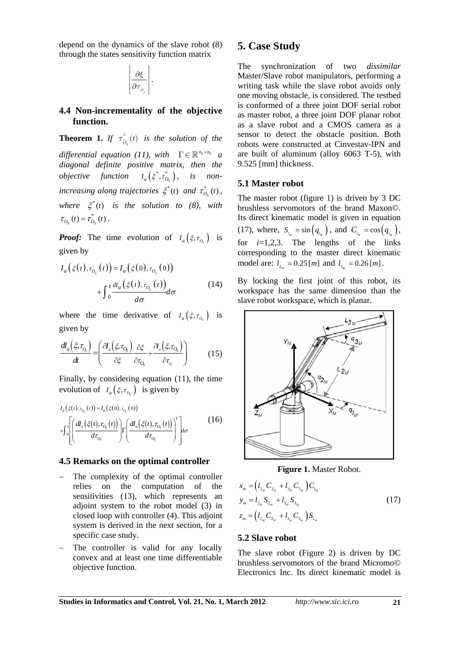depend on the dynamics of the slave robot (8) through the states sensitivity function matrix

| ð<br>Ļ |  |
|--------|--|
| Þ      |  |

#### **4.4 Non-incrementality of the objective function.**

**Theorem 1.** *If*  $\tau_{O_s}^*(t)$  *is the solution of the differential equation (11), with*  $\Gamma \in \mathbb{R}^{n_s \times n_s}$  *a diagonal definite positive matrix, then the objective* function  $I_a(\xi^*, \tau^*_{O_s})$ , is non*increasing along trajectories*  $\xi^*(t)$  *and*  $\tau^*_{O_s}(t)$ *, where*  $\xi^*(t)$  *is the solution to (8), with*  $\tau_{O_{\rm s}}(t) = \tau_{O_{\rm s}}^*(t)$ .

*Proof:* The time evolution of  $I_a(\xi, \tau_a)$  is given by

$$
I_a\left(\xi(t), \tau_{O_s}(t)\right) = I_a\left(\xi(0), \tau_{O_s}(0)\right) + \int_0^t \frac{dI_a\left(\xi(t), \tau_{O_s}(t)\right)}{d\sigma} d\sigma \tag{14}
$$

where the time derivative of  $I_a(\xi, \tau_{o_a})$  is given by

$$
\frac{dI_a(\xi,\tau_{\scriptscriptstyle O_s})}{dt} = \left(\frac{\partial I_a(\xi,\tau_{\scriptscriptstyle O_s})}{\partial \xi}\frac{\partial \xi}{\partial \tau_{\scriptscriptstyle O_s}} + \frac{\partial I_a(\xi,\tau_{\scriptscriptstyle O_s})}{\partial \tau_{\scriptscriptstyle O_s}}\right) \tag{15}
$$

Finally, by considering equation (11), the time evolution of  $I_a(\xi, \tau_{o_a})$  is given by

$$
I_{a}(\xi(t), \tau_{o_{s}}(t)) = I_{a}(\xi(0), \tau_{o_{s}}(0))
$$
  
+
$$
\int_{0}^{t} \left[ \left( \frac{dI_{a}(\xi(t), \tau_{o_{s}}(t))}{d\tau_{o_{s}}} \right) \left[ \left( \frac{dI_{a}(\xi(t), \tau_{o_{s}}(t))}{d\tau_{o_{s}}} \right)^{T} \right] d\sigma \right]
$$
(16)

#### **4.5 Remarks on the optimal controller**

- The complexity of the optimal controller relies on the computation of the sensitivities (13), which represents an adjoint system to the robot model (3) in closed loop with controller (4). This adjoint system is derived in the next section, for a specific case study.
- The controller is valid for any locally convex and at least one time differentiable objective function.

# **5. Case Study**

The synchronization of two *dissimilar*  Master/Slave robot manipulators, performing a writing task while the slave robot avoids only one moving obstacle, is considered. The testbed is conformed of a three joint DOF serial robot as master robot, a three joint DOF planar robot as a slave robot and a CMOS camera as a sensor to detect the obstacle position. Both robots were constructed at Cinvestav-IPN and are built of aluminum (alloy 6063 T-5), with 9.525 [mm] thickness.

#### **5.1 Master robot**

The master robot (figure 1) is driven by 3 DC brushless servomotors of the brand Maxon©. Its direct kinematic model is given in equation (17), where,  $S_{i_{ij}} = \sin\left(q_{i_{ij}}\right)$ , and  $C_{i_{ij}} = \cos\left(q_{i_{ij}}\right)$ , for  $i=1,2,3$ . The lengths of the links corresponding to the master direct kinematic model are:  $l_{2_{\mu}} = 0.25$  [*m*] and  $l_{3_{\mu}} = 0.26$  [*m*].

By locking the first joint of this robot, its workspace has the same dimension than the slave robot workspace, which is planar.



**Figure 1.** Master Robot.

$$
x_{m} = (l_{2_{M}} C_{2_{M}} + l_{3_{M}} C_{3_{M}}) C_{1_{M}}
$$
  
\n
$$
y_{m} = l_{2_{M}} S_{2_{M}} + l_{3_{M}} S_{3_{M}}
$$
  
\n
$$
z_{m} = (l_{2_{M}} C_{2_{M}} + l_{3_{M}} C_{3_{M}}) S_{1_{M}}
$$
\n(17)

#### **5.2 Slave robot**

The slave robot (Figure 2) is driven by DC brushless servomotors of the brand Micromo© Electronics Inc. Its direct kinematic model is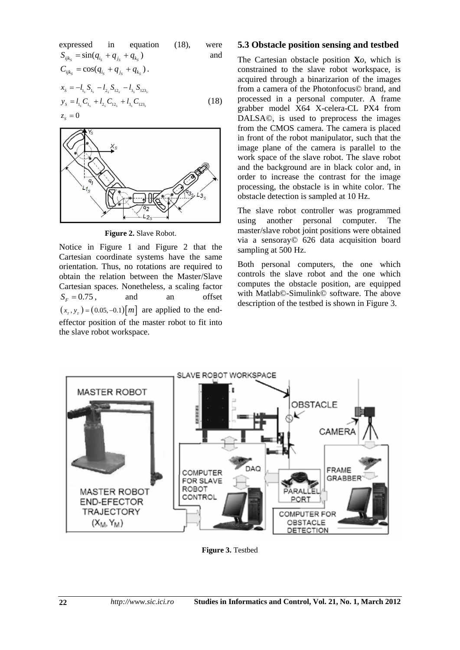expressed in equation (18), were  
\n
$$
S_{ijk_s} = \sin(q_{i_s} + q_{j_s} + q_{k_s})
$$
 and  
\n
$$
C_{ijk_s} = \cos(q_{i_s} + q_{j_s} + q_{k_s}).
$$
  
\n
$$
x_s = -l_{i_s} S_{1_s} - l_{2_s} S_{12_s} - l_{3_s} S_{123_s}
$$
  
\n
$$
y_s = l_{i_s} C_{1_s} + l_{2_s} C_{12_s} + l_{3_s} C_{123_s}
$$
 (18)  
\n
$$
z_s = 0
$$



**Figure 2.** Slave Robot.

Notice in Figure 1 and Figure 2 that the Cartesian coordinate systems have the same orientation. Thus, no rotations are required to obtain the relation between the Master/Slave Cartesian spaces. Nonetheless, a scaling factor  $S_F = 0.75$ , and an offset  $(x_{r}$ ,  $y_{r}$ ) =  $(0.05, -0.1)$ [*m*] are applied to the endeffector position of the master robot to fit into the slave robot workspace.

#### **5.3 Obstacle position sensing and testbed**

The Cartesian obstacle position **X***o*, which is constrained to the slave robot workspace, is acquired through a binarizarion of the images from a camera of the Photonfocus© brand, and processed in a personal computer. A frame grabber model X64 X-celera-CL PX4 from DALSA©, is used to preprocess the images from the CMOS camera. The camera is placed in front of the robot manipulator, such that the image plane of the camera is parallel to the work space of the slave robot. The slave robot and the background are in black color and, in order to increase the contrast for the image processing, the obstacle is in white color. The obstacle detection is sampled at 10 Hz.

The slave robot controller was programmed using another personal computer. The master/slave robot joint positions were obtained via a sensoray© 626 data acquisition board sampling at 500 Hz.

Both personal computers, the one which controls the slave robot and the one which computes the obstacle position, are equipped with Matlab©-Simulink© software. The above description of the testbed is shown in Figure 3.



**Figure 3.** Testbed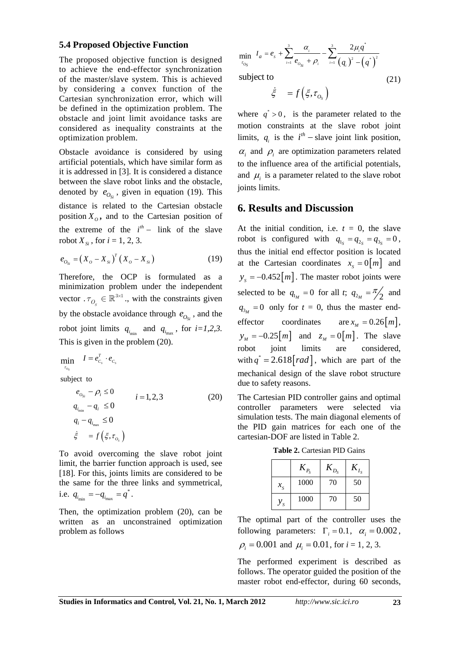#### **5.4 Proposed Objective Function**

The proposed objective function is designed to achieve the end-effector synchronization of the master/slave system. This is achieved by considering a convex function of the Cartesian synchronization error, which will be defined in the optimization problem. The obstacle and joint limit avoidance tasks are considered as inequality constraints at the optimization problem.

Obstacle avoidance is considered by using artificial potentials, which have similar form as it is addressed in [3]. It is considered a distance between the slave robot links and the obstacle, denoted by  $e_{O_{\rm{ex}}}$ , given in equation (19). This distance is related to the Cartesian obstacle position  $X_{\alpha}$ , and to the Cartesian position of the extreme of the  $i^{th}$  - link of the slave robot  $X_{\rm s}$ , for  $i = 1, 2, 3$ .

$$
e_{O_{S_i}} = (X_O - X_{S_i})^T (X_O - X_{S_i})
$$
 (19)

Therefore, the OCP is formulated as a minimization problem under the independent vector  $\tau_{O_s} \in \mathbb{R}^{3 \times 1}$ , with the constraints given by the obstacle avoidance through  $e_{O<sub>g</sub>}$ , and the robot joint limits  $q_{i_{\text{min}}}$  and  $q_{i_{\text{max}}}$ , for  $i=1,2,3$ . This is given in the problem (20).

$$
\min_{\tau_{o_s}} \quad I = e_{c_s}^T \cdot e_{c_s}
$$

subject to

$$
e_{o_{si}} - \rho_i \le 0 \qquad i = 1, 2, 3
$$
  
\n
$$
q_{i_{\min}} - q_i \le 0 \qquad i = 1, 2, 3
$$
  
\n
$$
q_i - q_{i_{\max}} \le 0 \qquad \vdots \qquad \vdots \qquad \vdots
$$
  
\n
$$
\dot{\xi} = f\left(\xi, \tau_{o_s}\right)
$$
  
\n(20)

To avoid overcoming the slave robot joint limit, the barrier function approach is used, see [18]. For this, joints limits are considered to be the same for the three links and symmetrical, i.e.  $q_{i_{\min}} = -q_{i_{\max}} = q^*$ .

Then, the optimization problem (20), can be written as an unconstrained optimization problem as follows

$$
\min_{\tau_{O_S}} I_a = e_s + \sum_{i=1}^3 \frac{\alpha_i}{e_{O_{S_i}} + \rho_i} - \sum_{i=1}^3 \frac{2\mu_i q^*}{(q_i)^2 - (q^*)^2}
$$
\nsubject to\n(21)

subject to

$$
\dot{\xi} = f(\xi, \tau_{O_{\rm s}})
$$

where  $q^* > 0$ , is the parameter related to the motion constraints at the slave robot joint limits,  $q_i$  is the  $i^{th}$  – slave joint link position,  $\alpha_i$  and  $\rho_i$  are optimization parameters related to the influence area of the artificial potentials, and  $\mu_i$  is a parameter related to the slave robot joints limits.

#### **6. Results and Discussion**

At the initial condition, i.e.  $t = 0$ , the slave robot is configured with  $q_{1s} = q_{2s} = q_{3s} = 0$ , thus the initial end effector position is located at the Cartesian coordinates  $x_s = 0 \lfloor m \rfloor$  and  $y_s = -0.452 [m]$ . The master robot joints were selected to be  $q_{1_M} = 0$  for all *t*;  $q_{2_M} = \frac{\pi}{2}$  and  $q_{3y} = 0$  only for  $t = 0$ , thus the master endeffector coordinates are  $x_M = 0.26 \lceil m \rceil$ ,  $y_M = -0.25[m]$  and  $z_M = 0[m]$ . The slave robot joint limits are considered, with  $q^* = 2.618 \, \text{rad}$ , which are part of the mechanical design of the slave robot structure due to safety reasons.

The Cartesian PID controller gains and optimal controller parameters were selected via simulation tests. The main diagonal elements of the PID gain matrices for each one of the cartesian-DOF are listed in Table 2.

**Table 2.** Cartesian PID Gains

|             | $K_{P_S}$ | $\mathbf{A}_{D_S}$ | I e |
|-------------|-----------|--------------------|-----|
| $x_{\rm s}$ | 1000      | 70                 | 50  |
| $\mathbf S$ | 1000      | 70                 | 50  |

The optimal part of the controller uses the following parameters:  $\Gamma_i = 0.1$ ,  $\alpha_i = 0.002$ ,  $\rho_i = 0.001$  and  $\mu_i = 0.01$ , for  $i = 1, 2, 3$ .

The performed experiment is described as follows. The operator guided the position of the master robot end-effector, during 60 seconds,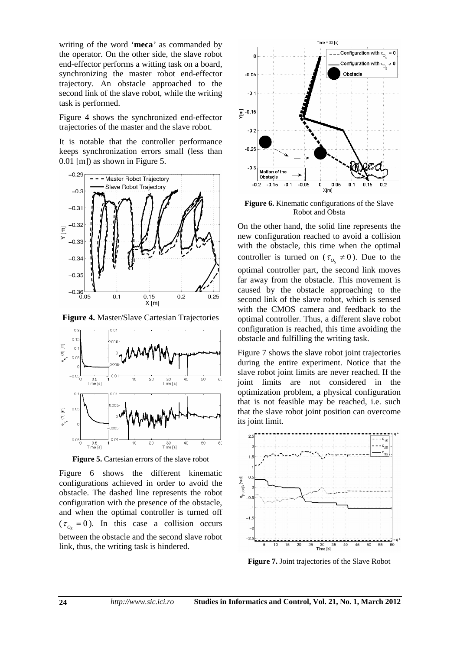writing of the word '**meca***'* as commanded by the operator. On the other side, the slave robot end-effector performs a witting task on a board, synchronizing the master robot end-effector trajectory. An obstacle approached to the second link of the slave robot, while the writing task is performed.

Figure 4 shows the synchronized end-effector trajectories of the master and the slave robot.

It is notable that the controller performance keeps synchronization errors small (less than 0.01 [m]) as shown in Figure 5.



**Figure 4.** Master/Slave Cartesian Trajectories



**Figure 5.** Cartesian errors of the slave robot

Figure 6 shows the different kinematic configurations achieved in order to avoid the obstacle. The dashed line represents the robot configuration with the presence of the obstacle, and when the optimal controller is turned off  $(\tau_{0} = 0)$ . In this case a collision occurs between the obstacle and the second slave robot link, thus, the writing task is hindered.



**Figure 6.** Kinematic configurations of the Slave Robot and Obsta

On the other hand, the solid line represents the new configuration reached to avoid a collision with the obstacle, this time when the optimal controller is turned on ( $\tau_{o} \neq 0$ ). Due to the optimal controller part, the second link moves far away from the obstacle. This movement is caused by the obstacle approaching to the second link of the slave robot, which is sensed with the CMOS camera and feedback to the optimal controller. Thus, a different slave robot configuration is reached, this time avoiding the obstacle and fulfilling the writing task.

Figure 7 shows the slave robot joint trajectories during the entire experiment. Notice that the slave robot joint limits are never reached. If the joint limits are not considered in the optimization problem, a physical configuration that is not feasible may be reached, i.e. such that the slave robot joint position can overcome its joint limit.



**Figure 7.** Joint trajectories of the Slave Robot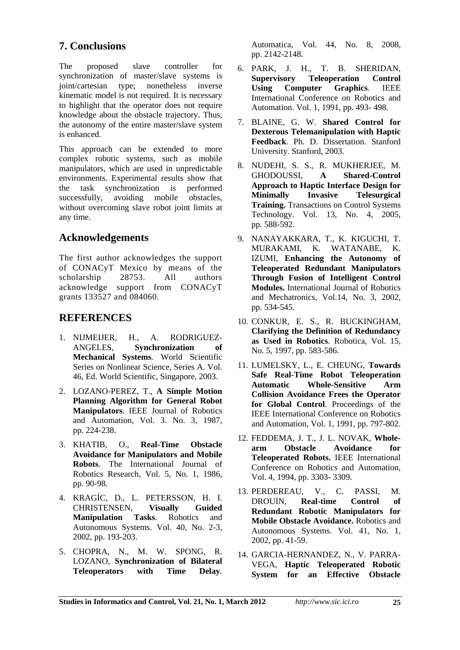# **7. Conclusions**

The proposed slave controller for synchronization of master/slave systems is joint/cartesian type; nonetheless inverse kinematic model is not required. It is necessary to highlight that the operator does not require knowledge about the obstacle trajectory. Thus, the autonomy of the entire master/slave system is enhanced.

This approach can be extended to more complex robotic systems, such as mobile manipulators, which are used in unpredictable environments. Experimental results show that the task synchronization is performed successfully, avoiding mobile obstacles, without overcoming slave robot joint limits at any time.

# **Acknowledgements**

The first author acknowledges the support of CONACyT Mexico by means of the scholarship 28753. All authors acknowledge support from CONACyT grants 133527 and 084060.

# **REFERENCES**

- 1. NIJMEIJER, H., A. RODRIGUEZ-ANGELES, **Synchronization of Mechanical Systems***.* World Scientific Series on Nonlinear Science, Series A. Vol. 46, Ed. World Scientific, Singapore, 2003.
- 2. LOZANO-PEREZ, T., **A Simple Motion Planning Algorithm for General Robot Manipulators**. IEEE Journal of Robotics and Automation, Vol. 3. No. 3, 1987, pp. 224-238.
- 3. KHATIB, O., **Real-Time Obstacle Avoidance for Manipulators and Mobile Robots***.* The International Journal of Robotics Research, Vol. 5, No. 1, 1986, pp. 90-98.
- 4. KRAGÍC, D., L. PETERSSON, H. I. CHRISTENSEN, **Visually Guided Manipulation Tasks***.* Robotics and Autonomous Systems. Vol. 40, No. 2-3, 2002, pp. 193-203.
- 5. CHOPRA, N., M. W. SPONG, R. LOZANO, **Synchronization of Bilateral Teleoperators with Time Delay***.*

Automatica, Vol. 44, No. 8, 2008, pp. 2142-2148.

- 6. PARK, J. H., T. B. SHERIDAN, **Supervisory Teleoperation Control Using Computer Graphics***.* IEEE International Conference on Robotics and Automation. Vol. 1, 1991, pp. 493- 498.
- 7. BLAINE, G. W. **Shared Control for Dexterous Telemanipulation with Haptic Feedback***.* Ph. D. Dissertation. Stanford University. Stanford, 2003.
- 8. NUDEHI, S. S., R. MUKHERJEE, M. GHODOUSSI, **A Shared-Control Approach to Haptic Interface Design for Minimally Invasive Telesurgical Training.** Transactions on Control Systems Technology. Vol. 13, No. 4, 2005, pp. 588-592.
- 9. NANAYAKKARA, T., K. KIGUCHI, T. MURAKAMI, K. WATANABE, K. IZUMI, **Enhancing the Autonomy of Teleoperated Redundant Manipulators Through Fusion of Intelligent Control Modules.** International Journal of Robotics and Mechatronics, Vol.14, No. 3, 2002, pp. 534-545.
- 10. CONKUR, E. S., R. BUCKINGHAM, **Clarifying the Definition of Redundancy as Used in Robotics**. Robotica, Vol. 15, No. 5, 1997, pp. 583-586.
- 11. LUMELSKY, L., E. CHEUNG, **Towards Safe Real-Time Robot Teleoperation Automatic Whole-Sensitive Arm Collision Avoidance Frees the Operator for Global Control**. Proceedings of the IEEE International Conference on Robotics and Automation, Vol. 1, 1991, pp. 797-802.
- 12. FEDDEMA, J. T., J. L. NOVAK, **Wholearm Obstacle Avoidance for Teleoperated Robots.** IEEE International Conference on Robotics and Automation, Vol. 4, 1994, pp. 3303- 3309.
- 13. PERDEREAU, V., C. PASSI, M. DROUIN, **Real-time Control of Redundant Robotic Manipulators for Mobile Obstacle Avoidance.** Robotics and Autonomous Systems. Vol. 41, No. 1, 2002, pp. 41-59.
- 14. GARCIA-HERNANDEZ, N., V. PARRA-VEGA, **Haptic Teleoperated Robotic System for an Effective Obstacle**